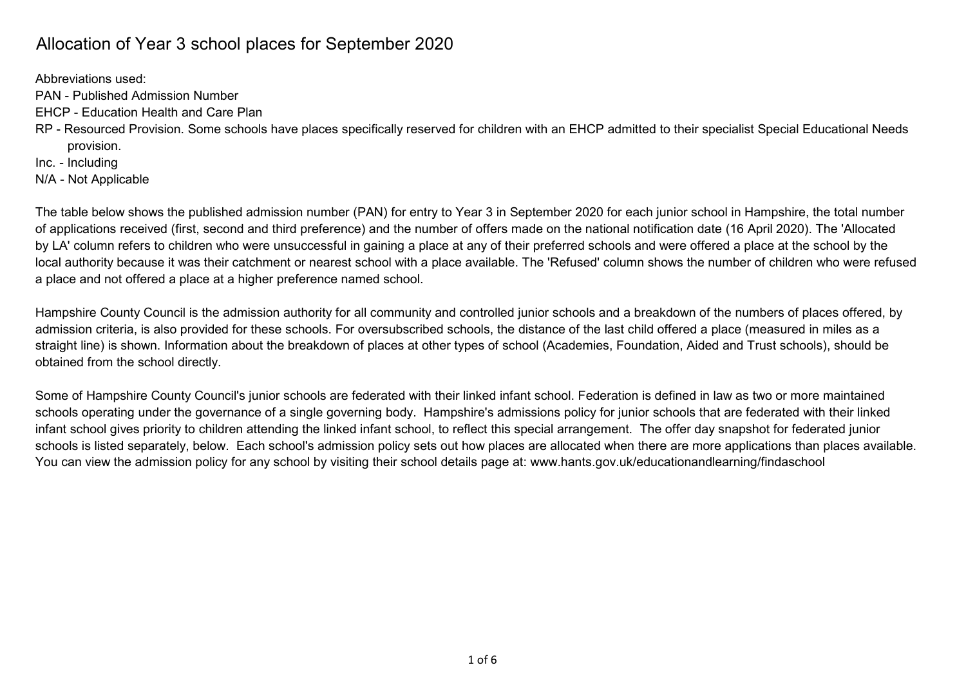## Allocation of Year 3 school places for September 2020

Abbreviations used:

- PAN Published Admission Number
- EHCP Education Health and Care Plan
- RP Resourced Provision. Some schools have places specifically reserved for children with an EHCP admitted to their specialist Special Educational Needs provision.

Inc. - Including

N/A - Not Applicable

The table below shows the published admission number (PAN) for entry to Year 3 in September 2020 for each junior school in Hampshire, the total number of applications received (first, second and third preference) and the number of offers made on the national notification date (16 April 2020). The 'Allocated by LA' column refers to children who were unsuccessful in gaining a place at any of their preferred schools and were offered a place at the school by the local authority because it was their catchment or nearest school with a place available. The 'Refused' column shows the number of children who were refused a place and not offered a place at a higher preference named school.

Hampshire County Council is the admission authority for all community and controlled junior schools and a breakdown of the numbers of places offered, by admission criteria, is also provided for these schools. For oversubscribed schools, the distance of the last child offered a place (measured in miles as a straight line) is shown. Information about the breakdown of places at other types of school (Academies, Foundation, Aided and Trust schools), should be obtained from the school directly.

Some of Hampshire County Council's junior schools are federated with their linked infant school. Federation is defined in law as two or more maintained schools operating under the governance of a single governing body. Hampshire's admissions policy for junior schools that are federated with their linked infant school gives priority to children attending the linked infant school, to reflect this special arrangement. The offer day snapshot for federated junior schools is listed separately, below. Each school's admission policy sets out how places are allocated when there are more applications than places available. You can view the admission policy for any school by visiting their school details page at: www.hants.gov.uk/educationandlearning/findaschool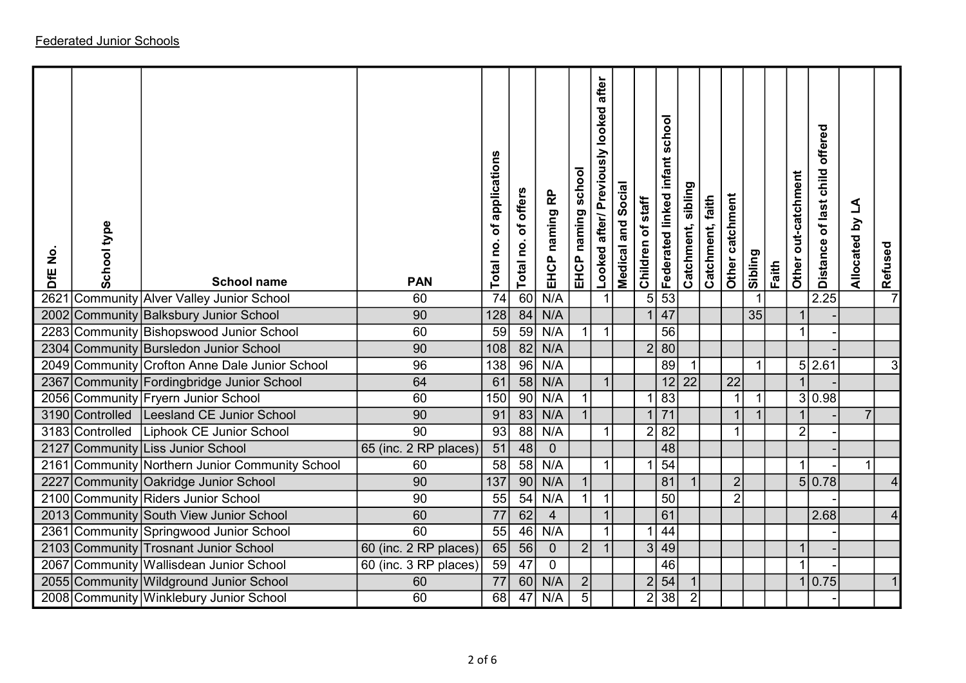| DfE No.<br>2621 | School type       | <b>School name</b><br>Community Alver Valley Junior School | <b>PAN</b><br>60      | of applications<br>Total no.<br>74 | Total no. of offers<br>$\overline{60}$ | EHCP naming RP<br>N/A | EHCP naming school      | after<br>Looked after/ Previously looked | Medical and Social | Children of staff<br>5 <sup>1</sup> | school<br>Federated linked infant<br>$\overline{53}$ | Catchment, sibling | Catchment, faith | Other catchment | Sibling | Faith | Other out-catchment     | offered<br>of last child<br><b>Distance</b><br>2.25 | Allocated by LA | Refused |  |
|-----------------|-------------------|------------------------------------------------------------|-----------------------|------------------------------------|----------------------------------------|-----------------------|-------------------------|------------------------------------------|--------------------|-------------------------------------|------------------------------------------------------|--------------------|------------------|-----------------|---------|-------|-------------------------|-----------------------------------------------------|-----------------|---------|--|
| 2002            |                   | Community Balksbury Junior School                          | 90                    | 128                                | 84                                     | N/A                   |                         |                                          |                    |                                     | 47                                                   |                    |                  |                 | 35      |       |                         |                                                     |                 |         |  |
| 2283            |                   | Community Bishopswood Junior School                        | 60                    | 59                                 | 59                                     | N/A                   | $\mathbf{1}$            | $\overline{1}$                           |                    |                                     | 56                                                   |                    |                  |                 |         |       | $\overline{1}$          |                                                     |                 |         |  |
| 2304            |                   | Community Bursledon Junior School                          | 90                    | 108                                | $\overline{82}$                        | N/A                   |                         |                                          |                    |                                     | 2 80                                                 |                    |                  |                 |         |       |                         |                                                     |                 |         |  |
|                 |                   | 2049 Community Crofton Anne Dale Junior School             | 96                    | 138                                | 96                                     | N/A                   |                         |                                          |                    |                                     | 89                                                   |                    |                  |                 |         |       |                         | 5 2.61                                              |                 | 3       |  |
| 2367            |                   | Community Fordingbridge Junior School                      | 64                    | 61                                 | $\overline{58}$                        | N/A                   |                         | $\overline{1}$                           |                    |                                     |                                                      | $12$ 22            |                  | 22              |         |       |                         |                                                     |                 |         |  |
|                 |                   | 2056 Community Fryern Junior School                        | 60                    | 150                                | $\overline{90}$                        | N/A                   | $\overline{\mathbf{1}}$ |                                          |                    |                                     | 83                                                   |                    |                  |                 |         |       |                         | 3 0.98                                              |                 |         |  |
|                 | 3190 Controlled   | Leesland CE Junior School                                  | 90                    | 91                                 | 83                                     | N/A                   |                         |                                          |                    |                                     | $\overline{71}$                                      |                    |                  |                 |         |       |                         |                                                     | $\overline{7}$  |         |  |
| 3183            | <b>Controlled</b> | Liphook CE Junior School                                   | $\overline{90}$       | 93                                 | $\overline{88}$                        | N/A                   |                         | $\overline{1}$                           |                    | 2                                   | 82                                                   |                    |                  |                 |         |       | $\overline{2}$          |                                                     |                 |         |  |
| 2127            |                   | Community Liss Junior School                               | 65 (inc. 2 RP places) | $\overline{51}$                    | 48                                     | $\overline{0}$        |                         |                                          |                    |                                     | 48                                                   |                    |                  |                 |         |       |                         |                                                     |                 |         |  |
| 2161            |                   | Community Northern Junior Community School                 | 60                    | 58                                 | 58                                     | N/A                   |                         | $\mathbf 1$                              |                    |                                     | $\overline{54}$                                      |                    |                  |                 |         |       | 1                       |                                                     |                 |         |  |
| 2227            |                   | Community Oakridge Junior School                           | 90                    | $\overline{137}$                   | $\overline{90}$                        | N/A                   | $\overline{1}$          |                                          |                    |                                     | 81                                                   |                    |                  | $\overline{2}$  |         |       |                         | 5 0.78                                              |                 |         |  |
|                 |                   | 2100 Community Riders Junior School                        | 90                    | 55                                 | $\overline{54}$                        | N/A                   | $\mathbf 1$             | $\overline{1}$                           |                    |                                     | 50                                                   |                    |                  | 2               |         |       |                         |                                                     |                 |         |  |
|                 |                   | 2013 Community South View Junior School                    | $\overline{60}$       | $\overline{77}$                    | 62                                     | $\overline{4}$        |                         |                                          |                    |                                     | 61                                                   |                    |                  |                 |         |       |                         | 2.68                                                |                 |         |  |
| 2361            |                   | Community Springwood Junior School                         | $\overline{60}$       | 55                                 | $\overline{46}$                        | N/A                   |                         |                                          |                    |                                     | 44                                                   |                    |                  |                 |         |       |                         |                                                     |                 |         |  |
| 2103            |                   | Community Trosnant Junior School                           | 60 (inc. 2 RP places) | 65                                 | 56                                     | $\mathbf{0}$          | 2                       | $\overline{\mathbf{1}}$                  |                    | 3                                   | 49                                                   |                    |                  |                 |         |       | $\overline{\mathbf{1}}$ |                                                     |                 |         |  |
| 2067            |                   | Community   Wallisdean Junior School                       | 60 (inc. 3 RP places) | 59                                 | 47                                     | $\mathbf 0$           |                         |                                          |                    |                                     | 46                                                   |                    |                  |                 |         |       | $\overline{1}$          |                                                     |                 |         |  |
| 2055            |                   | Community Wildground Junior School                         | 60                    | 77                                 | 60                                     | N/A                   | $\vert$ 2               |                                          |                    | $\overline{2}$                      | 54                                                   |                    |                  |                 |         |       |                         | 0.75                                                |                 |         |  |
|                 |                   | 2008 Community Winklebury Junior School                    | 60                    | 68                                 | 47                                     | N/A                   | $\overline{5}$          |                                          |                    | $\overline{2}$                      | $\overline{38}$                                      | $\overline{2}$     |                  |                 |         |       |                         |                                                     |                 |         |  |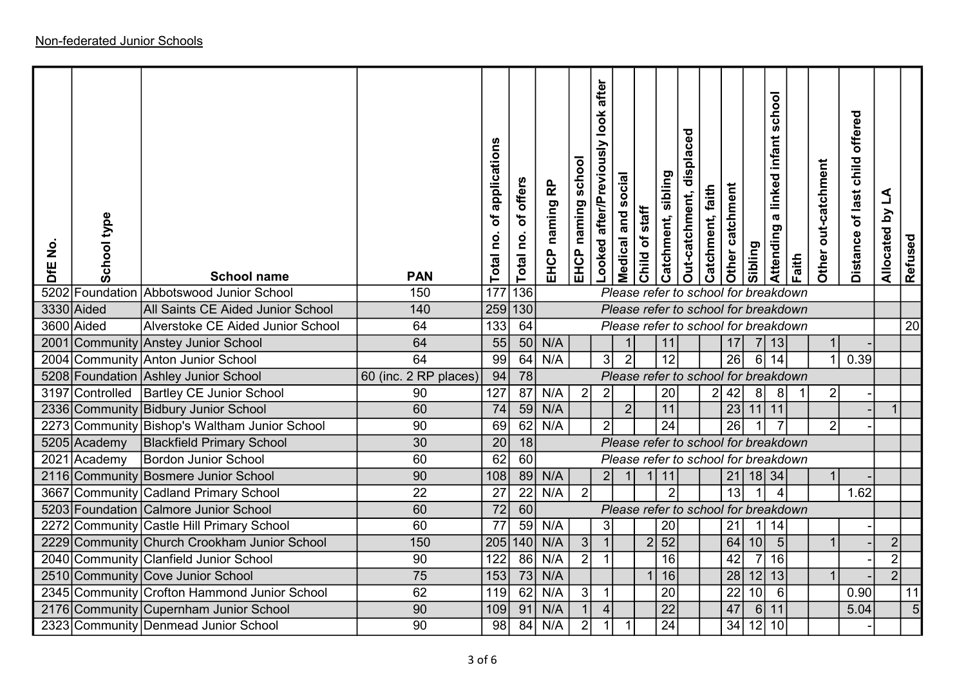| $\frac{1}{2}$<br>DfE | School type                  | <b>School name</b>                                              | <b>PAN</b>            | of applications<br>Total no. | of offers<br>Total no. | naming RP<br>EHCP | school<br>naming<br>EHCP | after<br>Looked after/Previously look | Medical and social                   | Child of staff | sibling<br>Catchment, | Out-catchment, displaced | Catchment, faith | Other catchment       | sibling        | school<br>a linked infant<br>Attending | Faith | out-catchment<br>Other | offered<br>Distance of last child | L<br>$\mathbf{\Sigma}$<br>Allocated | Refused        |
|----------------------|------------------------------|-----------------------------------------------------------------|-----------------------|------------------------------|------------------------|-------------------|--------------------------|---------------------------------------|--------------------------------------|----------------|-----------------------|--------------------------|------------------|-----------------------|----------------|----------------------------------------|-------|------------------------|-----------------------------------|-------------------------------------|----------------|
|                      |                              | 5202 Foundation Abbotswood Junior School                        | 150                   | 177                          | 136                    |                   |                          |                                       | Please refer to school for breakdown |                |                       |                          |                  |                       |                |                                        |       |                        |                                   |                                     |                |
|                      | 3330 Aided                   | All Saints CE Aided Junior School                               | $\overline{140}$      | $\overline{259}$             | 130                    |                   |                          |                                       | Please refer to school for breakdown |                |                       |                          |                  |                       |                |                                        |       |                        |                                   |                                     |                |
|                      | 3600 Aided                   | Alverstoke CE Aided Junior School                               | 64                    | 133                          | 64                     |                   |                          |                                       | Please refer to school for breakdown |                |                       |                          |                  |                       |                |                                        |       |                        |                                   |                                     | 20             |
| 2001                 |                              | Community Anstey Junior School                                  | 64                    | 55                           | 50                     | N/A               |                          |                                       |                                      |                | 11                    |                          |                  | 17                    | 7 <sup>1</sup> | 13                                     |       |                        |                                   |                                     |                |
| 2004                 |                              | Community Anton Junior School                                   | 64                    | 99                           | 64                     | N/A               |                          | 3 <sup>1</sup>                        | $\overline{2}$                       |                | 12                    |                          |                  | $\overline{26}$       | 6              | $\overline{14}$                        |       |                        | 0.39                              |                                     |                |
|                      |                              | 5208 Foundation Ashley Junior School                            | 60 (inc. 2 RP places) | 94                           | 78                     |                   |                          |                                       | Please refer to school for breakdown |                |                       |                          |                  |                       |                |                                        |       |                        |                                   |                                     |                |
|                      | 3197 Controlled              | <b>Bartley CE Junior School</b>                                 | 90                    | 127                          | $\overline{87}$        | N/A               | $\overline{2}$           | $\overline{2}$                        |                                      |                | 20                    |                          | $\mathbf{2}$     | 42                    | 8              | 8                                      |       | $2\vert$               |                                   | $\overline{1}$                      |                |
|                      |                              | 2336 Community Bidbury Junior School                            | 60<br>90              | 74<br>69                     | 59<br>62               | N/A<br>N/A        |                          | $\overline{2}$                        | 2 <sup>1</sup>                       |                | 11<br>24              |                          |                  | $\overline{23}$<br>26 | $11$ 11        |                                        |       | $\overline{2}$         |                                   |                                     |                |
| 2273                 |                              | Community Bishop's Waltham Junior School                        | 30                    | $\overline{20}$              | 18                     |                   |                          |                                       | Please refer to school for breakdown |                |                       |                          |                  |                       |                |                                        |       |                        |                                   |                                     |                |
|                      | 5205 Academy<br>2021 Academy | <b>Blackfield Primary School</b><br><b>Bordon Junior School</b> | 60                    | 62                           | 60                     |                   |                          |                                       | Please refer to school for breakdown |                |                       |                          |                  |                       |                |                                        |       |                        |                                   |                                     |                |
|                      |                              | 2116 Community Bosmere Junior School                            | 90                    | 108                          |                        | 89 N/A            |                          | 2 <sup>1</sup>                        |                                      |                | 11                    |                          |                  | 21                    | $18$ 34        |                                        |       |                        |                                   |                                     |                |
|                      |                              | 3667 Community Cadland Primary School                           | 22                    | 27                           | $\overline{22}$        | N/A               | $\vert$ 2                |                                       |                                      |                | 2 <sup>1</sup>        |                          |                  | $\overline{13}$       |                | $\Delta$                               |       |                        | 1.62                              |                                     |                |
|                      |                              | 5203 Foundation Calmore Junior School                           | 60                    | $\overline{72}$              | $\boxed{60}$           |                   |                          |                                       | Please refer to school for breakdown |                |                       |                          |                  |                       |                |                                        |       |                        |                                   |                                     |                |
| 2272                 |                              | Community Castle Hill Primary School                            | 60                    | 77                           | 59                     | N/A               |                          | 3                                     |                                      |                | 20                    |                          |                  | 21                    | 1              | 14                                     |       |                        |                                   |                                     |                |
| 2229                 |                              | Community Church Crookham Junior School                         | 150                   | 205                          | 140                    | N/A               | 3                        |                                       |                                      | 2              | $\overline{52}$       |                          |                  | 64                    | 10             | 5                                      |       |                        |                                   | $\overline{2}$                      |                |
| 2040                 |                              | Community Clanfield Junior School                               | 90                    | 122                          | 86                     | N/A               | $\overline{2}$           |                                       |                                      |                | 16                    |                          |                  | 42                    | $\overline{7}$ | 16                                     |       |                        |                                   | $\mathbf{2}$                        |                |
|                      |                              | 2510 Community Cove Junior School                               | $\overline{75}$       | 153                          |                        | 73 N/A            |                          |                                       |                                      |                | 16                    |                          |                  | $\overline{28}$       | $12$ 13        |                                        |       |                        |                                   | $\overline{2}$                      |                |
|                      |                              | 2345 Community Crofton Hammond Junior School                    | 62                    | 119                          | 62                     | N/A               | 3                        |                                       |                                      |                | 20                    |                          |                  | 22                    | 10             | 6                                      |       |                        | 0.90                              |                                     | 11             |
| 2176                 |                              | Community Cupernham Junior School                               | 90                    | 109                          | 91                     | N/A               |                          |                                       |                                      |                | 22                    |                          |                  | 47                    | 6              | 11                                     |       |                        | 5.04                              |                                     | $\overline{5}$ |
|                      |                              | 2323 Community Denmead Junior School                            | $\overline{90}$       | 98                           | $\overline{84}$        | N/A               | $\overline{2}$           |                                       |                                      |                | $\overline{24}$       |                          |                  | 34                    | 12             | 10                                     |       |                        |                                   |                                     |                |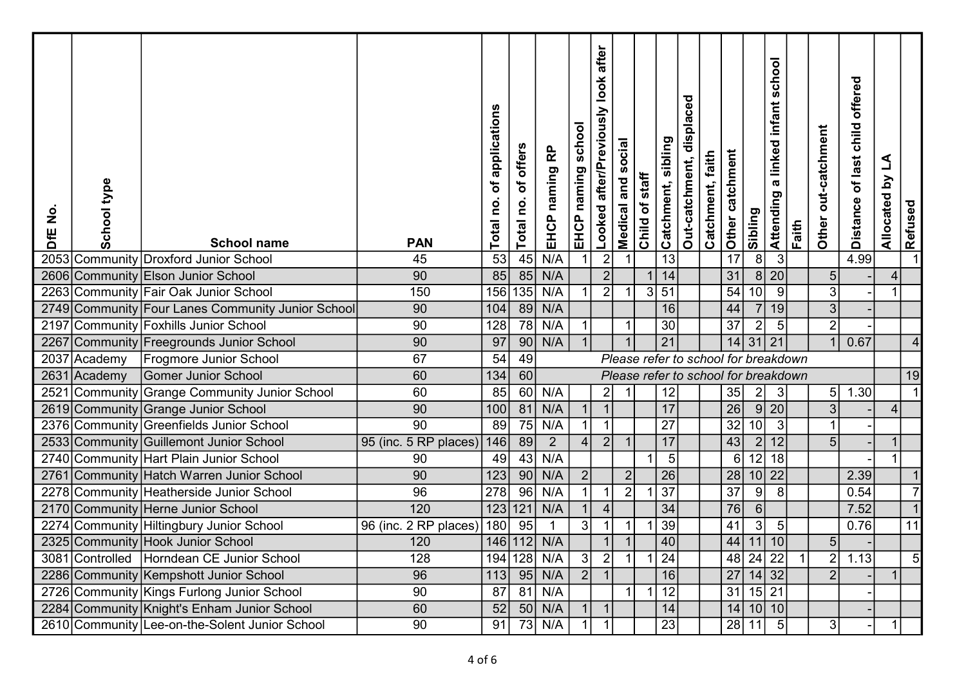| $\frac{1}{2}$<br>DfE | School type  | <b>School name</b>                             | <b>PAN</b>            | application<br>đ<br>Total no | of offers<br>Total no. | <u>բ</u><br>EHCP naming | school<br>EHCP naming | after<br><b>look</b><br>after/Previously<br>Looked | social<br>Medical and   | Child of staff | Catchment, sibling | displaced<br>Out-catchment, | Catchment, faith | Other catchment | Sibling                              | school<br>a linked infant<br>Attending | Faith          | Other out-catchment | offered<br>child<br>of last<br><b>Distance</b> | <u>گ</u><br>$\mathbf{\Sigma}$<br>Allocated | Refused        |
|----------------------|--------------|------------------------------------------------|-----------------------|------------------------------|------------------------|-------------------------|-----------------------|----------------------------------------------------|-------------------------|----------------|--------------------|-----------------------------|------------------|-----------------|--------------------------------------|----------------------------------------|----------------|---------------------|------------------------------------------------|--------------------------------------------|----------------|
| 2053                 |              | Community Droxford Junior School               | 45                    | 53                           | 45                     | N/A                     |                       | $\overline{2}$                                     |                         |                | $\overline{13}$    |                             |                  | 17              | $\overline{8}$                       | $\mathbf{3}$                           |                |                     | 4.99                                           |                                            |                |
|                      |              | 2606 Community Elson Junior School             | 90                    | 85                           | 85                     | N/A                     |                       | $2\vert$                                           |                         |                | 14                 |                             |                  | 31              | 8 20                                 |                                        |                | 5                   |                                                | 4 <sup>1</sup>                             |                |
|                      |              | 2263 Community Fair Oak Junior School          | 150                   |                              |                        | 156 135 N/A             |                       | $\overline{2}$                                     | $\overline{\mathbf{1}}$ |                | $3\overline{51}$   |                             |                  | $\overline{54}$ | 10                                   | $\vert 9 \vert$                        |                | 3 <sup>1</sup>      |                                                | $\blacktriangleleft$                       |                |
| 2749                 |              | Community Four Lanes Community Junior School   | 90                    | 104                          | 89                     | N/A                     |                       |                                                    |                         |                | 16                 |                             |                  | 44              | 7 19                                 |                                        |                | 3                   |                                                |                                            |                |
| 2197                 |              | Community Foxhills Junior School               | 90                    | 128                          | 78                     | N/A                     |                       |                                                    |                         |                | 30                 |                             |                  | $\overline{37}$ | 2                                    | $5\overline{)}$                        |                | $\overline{2}$      |                                                |                                            |                |
| 2267                 |              | Community   Freegrounds Junior School          | 90                    | 97                           | 90                     | N/A                     |                       |                                                    |                         |                | 21                 |                             |                  | 4               | $31$   21                            |                                        |                |                     | 0.67                                           |                                            |                |
| 2037                 | Academy      | <b>Frogmore Junior School</b>                  | 67                    | 54                           | 49                     |                         |                       |                                                    |                         |                |                    |                             |                  |                 | Please refer to school for breakdown |                                        |                |                     |                                                |                                            |                |
|                      | 2631 Academy | <b>Gomer Junior School</b>                     | 60                    | 134                          | 60                     |                         |                       |                                                    |                         |                |                    |                             |                  |                 | Please refer to school for breakdown |                                        |                |                     |                                                |                                            | 19             |
| 2521                 |              | Community Grange Community Junior School       | 60                    | 85                           | 60                     | N/A                     |                       | $\mathbf{2}$                                       |                         |                | 12                 |                             |                  | 35              | $\overline{2}$                       | $\lceil 3 \rceil$                      |                | 5                   | 1.30                                           |                                            |                |
|                      |              | 2619 Community Grange Junior School            | 90                    | 100                          | 81                     | N/A                     | 1                     | $\overline{1}$                                     |                         |                | 17                 |                             |                  | $\overline{26}$ | 9 20                                 |                                        |                | 3 <sup>1</sup>      |                                                | $\vert$                                    |                |
|                      |              | 2376 Community Greenfields Junior School       | $\overline{90}$       | 89                           | 75                     | N/A                     |                       |                                                    |                         |                | 27                 |                             |                  | $\overline{32}$ | 10 <sup>1</sup>                      | $\lceil 3 \rceil$                      |                |                     |                                                |                                            |                |
|                      |              | 2533 Community Guillemont Junior School        | 95 (inc. 5 RP places) | 146                          | 89                     | $\overline{2}$          | 4                     | $\vert$ 2                                          |                         |                | 17                 |                             |                  | 43              | $2\vert$                             | 12                                     |                | 5 <sup>1</sup>      |                                                | $\mathbf 1$                                |                |
|                      |              | 2740 Community Hart Plain Junior School        | 90                    | 49                           | 43                     | N/A                     |                       |                                                    |                         |                | $\sqrt{5}$         |                             |                  | 6 <sup>1</sup>  | 12 18                                |                                        |                |                     |                                                |                                            |                |
| 2761                 |              | Community Hatch Warren Junior School           | 90                    | 123                          | 90                     | N/A                     | 2                     |                                                    | $\overline{2}$          |                | 26                 |                             |                  | 28              | $10 \mid 22$                         |                                        |                |                     | 2.39                                           |                                            |                |
| 2278                 |              | Community Heatherside Junior School            | 96                    | 278                          | 96                     | N/A                     |                       | $\overline{1}$                                     | $\vert$ 2               |                | $\overline{37}$    |                             |                  | $\overline{37}$ | 9                                    | 8                                      |                |                     | 0.54                                           |                                            | $\overline{7}$ |
|                      |              | 2170 Community Herne Junior School             | 120                   |                              |                        | $123 121 $ N/A          |                       | $\vert$                                            |                         |                | 34                 |                             |                  | 76              | 6                                    |                                        |                |                     | 7.52                                           |                                            |                |
| 2274                 |              | Community Hiltingbury Junior School            | 96 (inc. 2 RP places) | 180                          | 95                     |                         | 3 <sup>1</sup>        |                                                    |                         |                | 39                 |                             |                  | $\overline{41}$ | $3\vert$                             | $\sqrt{5}$                             |                |                     | 0.76                                           |                                            | 11             |
|                      |              | 2325 Community Hook Junior School              | 120                   |                              |                        | 146 112 N/A             |                       | 1                                                  |                         |                | 40                 |                             |                  | 44              | 11                                   | 10 <sup>1</sup>                        |                | 5                   |                                                |                                            |                |
|                      |              | 3081 Controlled Horndean CE Junior School      | 128                   |                              |                        | 194 128 N/A             | 3                     | $\vert$ 2                                          | $\overline{1}$          |                | $1 \overline{24}$  |                             |                  |                 | 48 24 22                             |                                        | $\overline{1}$ |                     | 2 1.13                                         |                                            | 5              |
|                      |              | 2286 Community Kempshott Junior School         | 96                    | 113                          |                        | $95$ N/A                | $\vert$ 2             |                                                    |                         |                | 16                 |                             |                  |                 | $27 \mid 14 \mid 32 \mid$            |                                        |                | 2 <sup>1</sup>      |                                                |                                            |                |
|                      |              | 2726 Community Kings Furlong Junior School     | 90                    | 87                           |                        | $81$ N/A                |                       |                                                    |                         |                | 12                 |                             |                  |                 | $31 \mid 15 \mid 21$                 |                                        |                |                     |                                                |                                            |                |
|                      |              | 2284 Community Knight's Enham Junior School    | 60                    | 52                           |                        | $50$ N/A                | $\vert$ 1             | $\vert$ 1                                          |                         |                | 14                 |                             |                  |                 | $14$ 10 10                           |                                        |                |                     |                                                |                                            |                |
|                      |              | 2610 Community Lee-on-the-Solent Junior School | 90                    | 91                           |                        | $73$ N/A                |                       |                                                    |                         |                | $\overline{23}$    |                             |                  |                 | $\overline{28}$ 11 5                 |                                        |                | 3                   |                                                |                                            |                |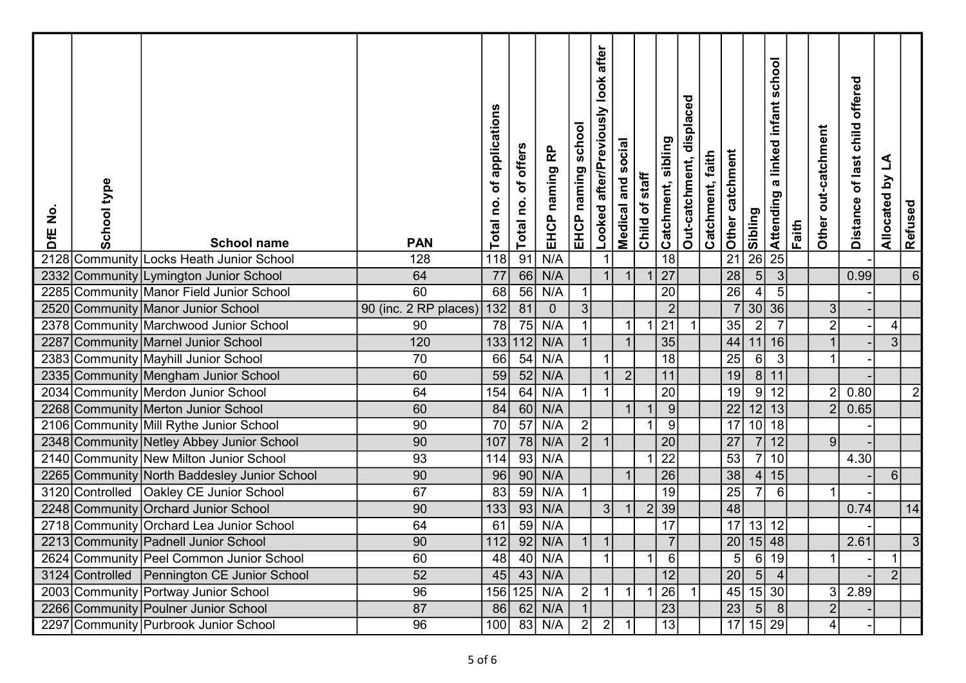| $\frac{1}{2}$<br>DfE | School type | <b>School name</b>                           | <b>PAN</b>            | applications<br>đ<br>Total no | of offers<br>Total no. | <u>բ</u><br>EHCP naming | school<br>EHCP naming | after<br><b>look</b><br>Looked after/Previously | Medical and social | Child of staff | Catchment, sibling | Out-catchment, displaced | Catchment, faith | $\frac{1}{2}$ Other catchment | Sibling          | school<br>a linked infant<br>Attending | Faith | Other out-catchment | offered<br>child<br>of last<br><b>Distance</b> | <u>گ</u><br>$\mathbf{\Sigma}$<br>Allocated | Refused        |  |
|----------------------|-------------|----------------------------------------------|-----------------------|-------------------------------|------------------------|-------------------------|-----------------------|-------------------------------------------------|--------------------|----------------|--------------------|--------------------------|------------------|-------------------------------|------------------|----------------------------------------|-------|---------------------|------------------------------------------------|--------------------------------------------|----------------|--|
| 2128                 |             | Community Locks Heath Junior School          | 128                   | 118                           | 91                     | N/A                     |                       |                                                 |                    |                | $\overline{18}$    |                          |                  |                               | $\overline{26}$  | $\overline{25}$                        |       |                     |                                                |                                            |                |  |
| 2332                 |             | Community Lymington Junior School            | 64                    | 77                            |                        | 66 N/A                  |                       | $\overline{1}$                                  |                    |                | 27                 |                          |                  | $\overline{28}$               | $\overline{5}$   | 3                                      |       |                     | 0.99                                           |                                            | 6              |  |
|                      |             | 2285 Community Manor Field Junior School     | 60                    | 68                            |                        | $56$ N/A                | $\mathbf{1}$          |                                                 |                    |                | $\overline{20}$    |                          |                  | $\overline{26}$               | $\overline{4}$   | $5\overline{)}$                        |       |                     |                                                |                                            |                |  |
|                      |             | 2520 Community Manor Junior School           | 90 (inc. 2 RP places) | 132                           | 81                     | $\overline{0}$          | 3 <sup>1</sup>        |                                                 |                    |                | 2                  |                          |                  |                               | 30 36            |                                        |       | 3                   |                                                |                                            |                |  |
|                      |             | 2378 Community Marchwood Junior School       | 90                    | 78                            | 75                     | N/A                     |                       |                                                 |                    |                | 21                 |                          |                  | 35                            | $\overline{2}$   | $\overline{7}$                         |       | $\overline{2}$      |                                                | $\vert 4 \vert$                            |                |  |
| 2287                 |             | Community Marnel Junior School               | 120                   |                               |                        | 133 112 N/A             |                       |                                                 |                    |                | 35                 |                          |                  | 44                            | 11               | 16                                     |       |                     |                                                | $3\vert$                                   |                |  |
|                      |             | 2383 Community Mayhill Junior School         | 70                    | 66                            | 54                     | N/A                     |                       | $\overline{1}$                                  |                    |                | $\overline{18}$    |                          |                  | $\overline{25}$               | $6\vert$         | $\lceil 3 \rceil$                      |       |                     |                                                |                                            |                |  |
|                      |             | 2335 Community Mengham Junior School         | 60                    | $\overline{59}$               |                        | $52$ N/A                |                       |                                                 | $\overline{2}$     |                | 11                 |                          |                  | 19                            | 8 11             |                                        |       |                     |                                                |                                            |                |  |
|                      |             | 2034 Community Merdon Junior School          | 64                    | 154                           | 64                     | N/A                     |                       | $\overline{1}$                                  |                    |                | 20                 |                          |                  | 19                            | 9                | 12                                     |       | 2                   | 0.80                                           |                                            | $\overline{2}$ |  |
|                      |             | 2268 Community Merton Junior School          | 60                    | 84                            |                        | $60$ N/A                |                       |                                                 |                    |                | 9                  |                          |                  | $\overline{22}$               | 12 13            |                                        |       | $\overline{2}$      | 0.65                                           |                                            |                |  |
|                      |             | 2106 Community Mill Rythe Junior School      | 90                    | $\overline{70}$               | 57                     | N/A                     | $\vert$ 2             |                                                 |                    |                | 9                  |                          |                  | 17                            | 10 18            |                                        |       |                     |                                                |                                            |                |  |
|                      |             | 2348 Community Netley Abbey Junior School    | 90                    | 107                           |                        | 78 N/A                  | $\vert$ 2             | $\overline{1}$                                  |                    |                | 20                 |                          |                  | $\overline{27}$               | 7 12             |                                        |       | 9 <sup>1</sup>      |                                                |                                            |                |  |
|                      |             | 2140 Community New Milton Junior School      | 93                    | 114                           | 93                     | N/A                     |                       |                                                 |                    |                | $\overline{22}$    |                          |                  | $\overline{53}$               |                  | 7 10                                   |       |                     | 4.30                                           |                                            |                |  |
|                      |             | 2265 Community North Baddesley Junior School | 90                    | 96                            | 90                     | N/A                     |                       |                                                 |                    |                | $\overline{26}$    |                          |                  | $\overline{38}$               | 4                | 15                                     |       |                     |                                                | 6 <sup>1</sup>                             |                |  |
|                      |             | 3120 Controlled   Oakley CE Junior School    | 67                    | $\overline{83}$               | 59                     | N/A                     |                       |                                                 |                    |                | 19                 |                          |                  | $\overline{25}$               | $\overline{7}$   | $6 \mid$                               |       |                     |                                                |                                            |                |  |
|                      |             | 2248 Community Orchard Junior School         | 90                    | 133                           |                        | $93$ N/A                |                       | 3                                               |                    |                | 39                 |                          |                  | 48                            |                  |                                        |       |                     | 0.74                                           |                                            | 14             |  |
|                      |             | 2718 Community Orchard Lea Junior School     | 64                    | 61                            | 59                     | N/A                     |                       |                                                 |                    |                | 17                 |                          |                  | $\overline{17}$               | $13$ 12          |                                        |       |                     |                                                |                                            |                |  |
|                      |             | 2213 Community Padnell Junior School         | 90                    | 112                           | 92                     | N/A                     | $\vert$ 1             | $\vert$ 1                                       |                    |                | 7 <sup>1</sup>     |                          |                  | 20                            | 15 48            |                                        |       |                     | 2.61                                           |                                            | 3 <sup>l</sup> |  |
|                      |             | 2624 Community Peel Common Junior School     | 60                    | 48                            |                        | $40$ N/A                |                       | $\mathbf{1}$                                    |                    |                | 6                  |                          |                  | 5 <sub>l</sub>                | $6\overline{19}$ |                                        |       |                     |                                                | $\mathbf 1$                                |                |  |
|                      |             | 3124 Controlled Pennington CE Junior School  | 52                    | 45                            |                        | $43$ N/A                |                       |                                                 |                    |                | 12                 |                          |                  | $\overline{20}$               | $\boxed{5}$ 4    |                                        |       |                     |                                                | $\overline{2}$                             |                |  |
|                      |             | 2003 Community Portway Junior School         | 96                    |                               |                        | 156 125 N/A             | $\vert$ 2             | $\overline{1}$                                  |                    |                | 26                 |                          |                  | 45                            | $ 15 $ 30        |                                        |       | 31                  | 2.89                                           |                                            |                |  |
|                      |             | 2266 Community Poulner Junior School         | 87                    | 86                            |                        | $62$ N/A                |                       |                                                 |                    |                | $\overline{23}$    |                          |                  | $\overline{23}$               | 58               |                                        |       | 2                   |                                                |                                            |                |  |
|                      |             | 2297 Community Purbrook Junior School        | $\overline{96}$       | 100                           |                        | $83$ N/A                | $\overline{2}$        | $\vert$ 2                                       |                    |                | 13                 |                          |                  |                               | $17$ 15 29       |                                        |       | 4                   |                                                |                                            |                |  |